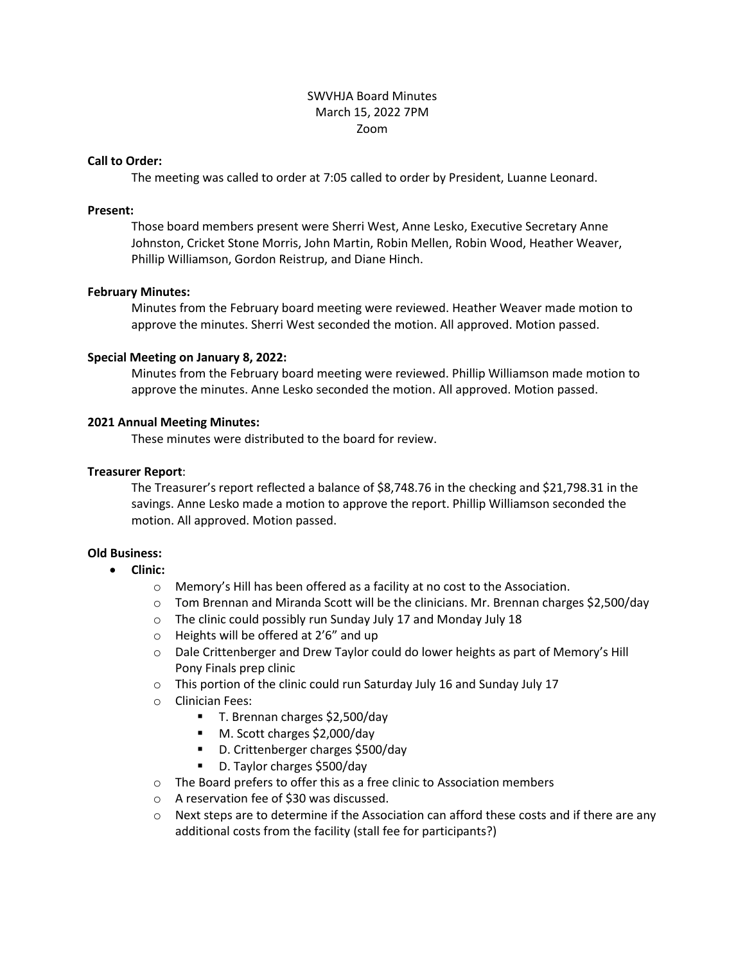## SWVHJA Board Minutes March 15, 2022 7PM Zoom

#### **Call to Order:**

The meeting was called to order at 7:05 called to order by President, Luanne Leonard.

#### **Present:**

Those board members present were Sherri West, Anne Lesko, Executive Secretary Anne Johnston, Cricket Stone Morris, John Martin, Robin Mellen, Robin Wood, Heather Weaver, Phillip Williamson, Gordon Reistrup, and Diane Hinch.

## **February Minutes:**

Minutes from the February board meeting were reviewed. Heather Weaver made motion to approve the minutes. Sherri West seconded the motion. All approved. Motion passed.

## **Special Meeting on January 8, 2022:**

Minutes from the February board meeting were reviewed. Phillip Williamson made motion to approve the minutes. Anne Lesko seconded the motion. All approved. Motion passed.

## **2021 Annual Meeting Minutes:**

These minutes were distributed to the board for review.

## **Treasurer Report**:

The Treasurer's report reflected a balance of \$8,748.76 in the checking and \$21,798.31 in the savings. Anne Lesko made a motion to approve the report. Phillip Williamson seconded the motion. All approved. Motion passed.

# **Old Business:**

- **Clinic:** 
	- o Memory's Hill has been offered as a facility at no cost to the Association.
	- $\circ$  Tom Brennan and Miranda Scott will be the clinicians. Mr. Brennan charges \$2,500/day
	- o The clinic could possibly run Sunday July 17 and Monday July 18
	- o Heights will be offered at 2'6" and up
	- o Dale Crittenberger and Drew Taylor could do lower heights as part of Memory's Hill Pony Finals prep clinic
	- o This portion of the clinic could run Saturday July 16 and Sunday July 17
	- o Clinician Fees:
		- T. Brennan charges \$2,500/day
		- M. Scott charges \$2,000/day
		- D. Crittenberger charges \$500/day
		- D. Taylor charges \$500/day
	- o The Board prefers to offer this as a free clinic to Association members
	- o A reservation fee of \$30 was discussed.
	- $\circ$  Next steps are to determine if the Association can afford these costs and if there are any additional costs from the facility (stall fee for participants?)